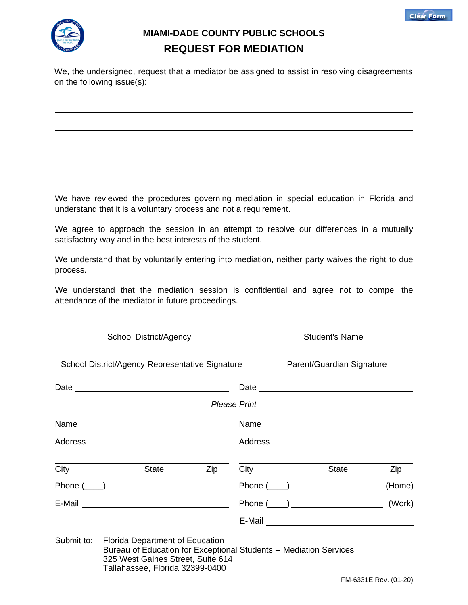



## **MIAMI-DADE COUNTY PUBLIC SCHOOLS REQUEST FOR MEDIATION**

We, the undersigned, request that a mediator be assigned to assist in resolving disagreements on the following issue(s):

We have reviewed the procedures governing mediation in special education in Florida and understand that it is a voluntary process and not a requirement.

We agree to approach the session in an attempt to resolve our differences in a mutually satisfactory way and in the best interests of the student.

We understand that by voluntarily entering into mediation, neither party waives the right to due process.

We understand that the mediation session is confidential and agree not to compel the attendance of the mediator in future proceedings.

| <b>School District/Agency</b><br>School District/Agency Representative Signature |                                                                                                                                                   |     |                           | <b>Student's Name</b> |                |        |  |
|----------------------------------------------------------------------------------|---------------------------------------------------------------------------------------------------------------------------------------------------|-----|---------------------------|-----------------------|----------------|--------|--|
|                                                                                  |                                                                                                                                                   |     | Parent/Guardian Signature |                       |                |        |  |
|                                                                                  |                                                                                                                                                   |     |                           |                       | Date           |        |  |
|                                                                                  |                                                                                                                                                   |     | <b>Please Print</b>       |                       |                |        |  |
|                                                                                  |                                                                                                                                                   |     |                           |                       |                |        |  |
|                                                                                  |                                                                                                                                                   |     |                           |                       |                |        |  |
| City                                                                             | State                                                                                                                                             | Zip | City                      |                       | State          | Zip    |  |
|                                                                                  | Phone $(\_\_)$                                                                                                                                    |     |                           |                       | Phone $(\_\_)$ | (Home) |  |
|                                                                                  | E-Mail <u>__________________________</u>                                                                                                          |     |                           |                       | Phone $(\_\_)$ | (Work) |  |
|                                                                                  |                                                                                                                                                   |     |                           |                       |                |        |  |
| Submit to:                                                                       | <b>Florida Department of Education</b><br>Bureau of Education for Exceptional Students -- Mediation Services<br>325 West Gaines Street, Suite 614 |     |                           |                       |                |        |  |

Tallahassee, Florida 32399-0400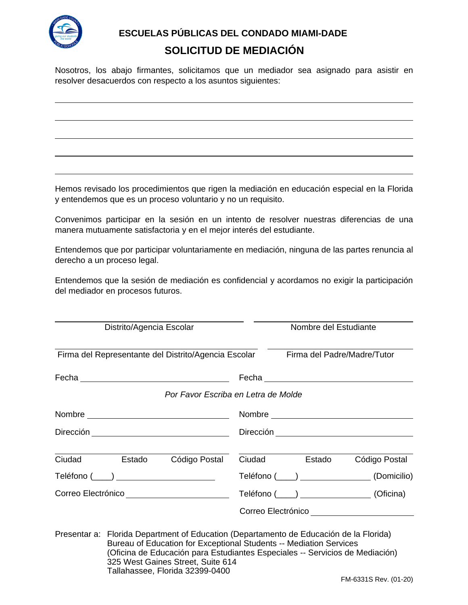

**ESCUELAS PÚBLICAS DEL CONDADO MIAMI-DADE** 

## **SOLICITUD DE MEDIACIÓN**

Nosotros, los abajo firmantes, solicitamos que un mediador sea asignado para asistir en resolver desacuerdos con respecto a los asuntos siguientes:

Hemos revisado los procedimientos que rigen la mediación en educación especial en la Florida y entendemos que es un proceso voluntario y no un requisito.

Convenimos participar en la sesión en un intento de resolver nuestras diferencias de una manera mutuamente satisfactoria y en el mejor interés del estudiante.

Entendemos que por participar voluntariamente en mediación, ninguna de las partes renuncia al derecho a un proceso legal.

Entendemos que la sesión de mediación es confidencial y acordamos no exigir la participación del mediador en procesos futuros.

| Distrito/Agencia Escolar |        |                                                                                                                                                                                                                                                                                   | Nombre del Estudiante |                             |                                           |  |  |
|--------------------------|--------|-----------------------------------------------------------------------------------------------------------------------------------------------------------------------------------------------------------------------------------------------------------------------------------|-----------------------|-----------------------------|-------------------------------------------|--|--|
|                          |        | Firma del Representante del Distrito/Agencia Escolar                                                                                                                                                                                                                              |                       | Firma del Padre/Madre/Tutor |                                           |  |  |
|                          |        |                                                                                                                                                                                                                                                                                   |                       |                             |                                           |  |  |
|                          |        | Por Favor Escriba en Letra de Molde                                                                                                                                                                                                                                               |                       |                             |                                           |  |  |
|                          |        |                                                                                                                                                                                                                                                                                   |                       |                             |                                           |  |  |
|                          |        |                                                                                                                                                                                                                                                                                   |                       |                             |                                           |  |  |
| Ciudad                   | Estado | Código Postal                                                                                                                                                                                                                                                                     | Ciudad                | Estado                      | Código Postal                             |  |  |
|                          |        | Teléfono (____) ______________________                                                                                                                                                                                                                                            |                       | Teléfono (____)             | (Domicilio)                               |  |  |
| Correo Electrónico       |        |                                                                                                                                                                                                                                                                                   |                       |                             | Teléfono (____) ________________(Oficina) |  |  |
|                          |        |                                                                                                                                                                                                                                                                                   |                       |                             | Correo Electrónico                        |  |  |
|                          |        | Presentar a: Florida Department of Education (Departamento de Educación de la Florida)<br>Bureau of Education for Exceptional Students -- Mediation Services<br>(Oficina de Educación para Estudiantes Especiales -- Servicios de Mediación)<br>325 West Gaines Street, Suite 614 |                       |                             |                                           |  |  |

Tallahassee, Florida 32399-0400